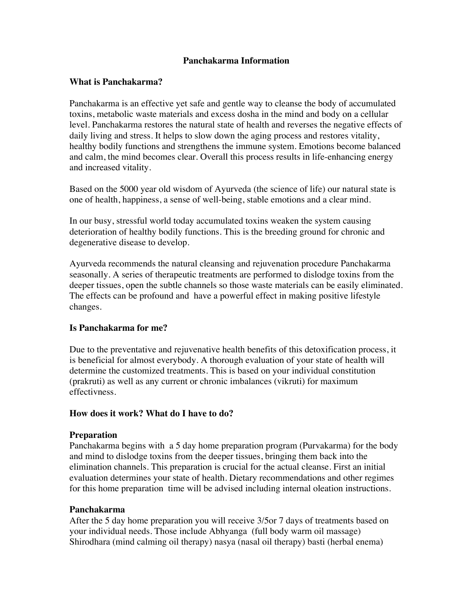# **Panchakarma Information**

# **What is Panchakarma?**

Panchakarma is an effective yet safe and gentle way to cleanse the body of accumulated toxins, metabolic waste materials and excess dosha in the mind and body on a cellular level. Panchakarma restores the natural state of health and reverses the negative effects of daily living and stress. It helps to slow down the aging process and restores vitality, healthy bodily functions and strengthens the immune system. Emotions become balanced and calm, the mind becomes clear. Overall this process results in life-enhancing energy and increased vitality.

Based on the 5000 year old wisdom of Ayurveda (the science of life) our natural state is one of health, happiness, a sense of well-being, stable emotions and a clear mind.

In our busy, stressful world today accumulated toxins weaken the system causing deterioration of healthy bodily functions. This is the breeding ground for chronic and degenerative disease to develop.

Ayurveda recommends the natural cleansing and rejuvenation procedure Panchakarma seasonally. A series of therapeutic treatments are performed to dislodge toxins from the deeper tissues, open the subtle channels so those waste materials can be easily eliminated. The effects can be profound and have a powerful effect in making positive lifestyle changes.

# **Is Panchakarma for me?**

Due to the preventative and rejuvenative health benefits of this detoxification process, it is beneficial for almost everybody. A thorough evaluation of your state of health will determine the customized treatments. This is based on your individual constitution (prakruti) as well as any current or chronic imbalances (vikruti) for maximum effectivness.

### **How does it work? What do I have to do?**

### **Preparation**

Panchakarma begins with a 5 day home preparation program (Purvakarma) for the body and mind to dislodge toxins from the deeper tissues, bringing them back into the elimination channels. This preparation is crucial for the actual cleanse. First an initial evaluation determines your state of health. Dietary recommendations and other regimes for this home preparation time will be advised including internal oleation instructions.

### **Panchakarma**

After the 5 day home preparation you will receive 3/5or 7 days of treatments based on your individual needs. Those include Abhyanga (full body warm oil massage) Shirodhara (mind calming oil therapy) nasya (nasal oil therapy) basti (herbal enema)